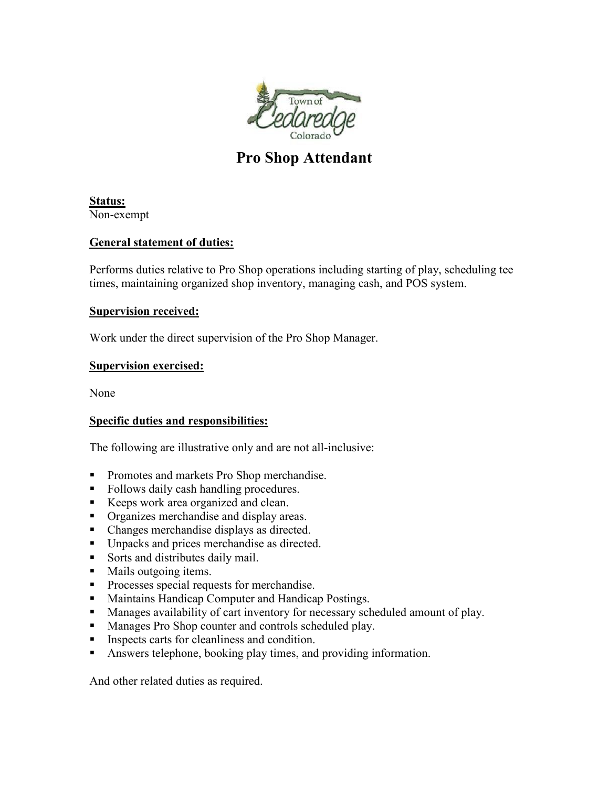

# **Pro Shop Attendant**

**Status:** Non-exempt

## **General statement of duties:**

Performs duties relative to Pro Shop operations including starting of play, scheduling tee times, maintaining organized shop inventory, managing cash, and POS system.

## **Supervision received:**

Work under the direct supervision of the Pro Shop Manager.

## **Supervision exercised:**

None

## **Specific duties and responsibilities:**

The following are illustrative only and are not all-inclusive:

- **Promotes and markets Pro Shop merchandise.**
- Follows daily cash handling procedures.
- Keeps work area organized and clean.
- **•** Organizes merchandise and display areas.
- Changes merchandise displays as directed.
- **IDED** Unpacks and prices merchandise as directed.
- Sorts and distributes daily mail.
- Mails outgoing items.
- **Processes special requests for merchandise.**
- **Maintains Handicap Computer and Handicap Postings.**
- **Manages availability of cart inventory for necessary scheduled amount of play.**
- **Manages Pro Shop counter and controls scheduled play.**
- **Inspects carts for cleanliness and condition.**
- Answers telephone, booking play times, and providing information.

And other related duties as required.